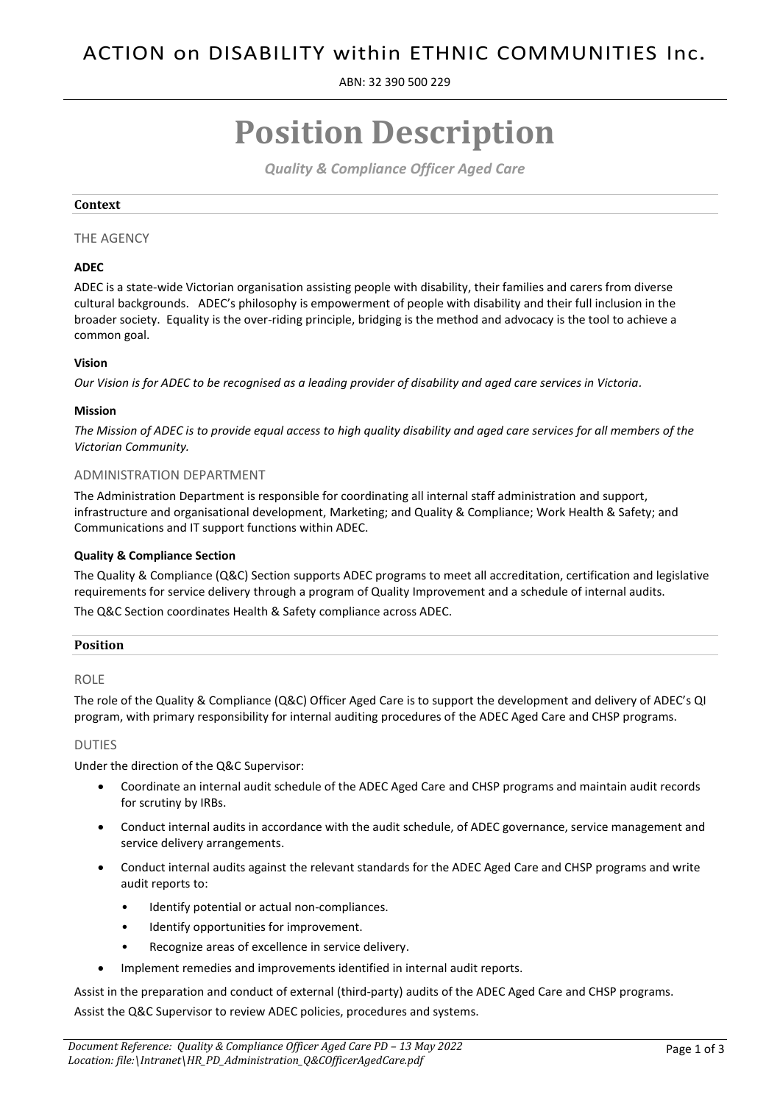ABN: 32 390 500 229

# **Position Description**

*Quality & Compliance Officer Aged Care*

# **Context**

# THE AGENCY

# **ADEC**

ADEC is a state-wide Victorian organisation assisting people with disability, their families and carers from diverse cultural backgrounds. ADEC's philosophy is empowerment of people with disability and their full inclusion in the broader society. Equality is the over-riding principle, bridging is the method and advocacy is the tool to achieve a common goal.

# **Vision**

*Our Vision is for ADEC to be recognised as a leading provider of disability and aged care services in Victoria.*

# **Mission**

*The Mission of ADEC is to provide equal access to high quality disability and aged care services for all members of the Victorian Community.*

# ADMINISTRATION DEPARTMENT

The Administration Department is responsible for coordinating all internal staff administration and support, infrastructure and organisational development, Marketing; and Quality & Compliance; Work Health & Safety; and Communications and IT support functions within ADEC.

# **Quality & Compliance Section**

The Quality & Compliance (Q&C) Section supports ADEC programs to meet all accreditation, certification and legislative requirements for service delivery through a program of Quality Improvement and a schedule of internal audits. The Q&C Section coordinates Health & Safety compliance across ADEC.

#### **Position**

# ROLE

The role of the Quality & Compliance (Q&C) Officer Aged Care is to support the development and delivery of ADEC's QI program, with primary responsibility for internal auditing procedures of the ADEC Aged Care and CHSP programs.

#### DUTIES

Under the direction of the Q&C Supervisor:

- Coordinate an internal audit schedule of the ADEC Aged Care and CHSP programs and maintain audit records for scrutiny by IRBs.
- Conduct internal audits in accordance with the audit schedule, of ADEC governance, service management and service delivery arrangements.
- Conduct internal audits against the relevant standards for the ADEC Aged Care and CHSP programs and write audit reports to:
	- Identify potential or actual non-compliances.
	- Identify opportunities for improvement.
	- Recognize areas of excellence in service delivery.
- Implement remedies and improvements identified in internal audit reports.

Assist in the preparation and conduct of external (third-party) audits of the ADEC Aged Care and CHSP programs. Assist the Q&C Supervisor to review ADEC policies, procedures and systems.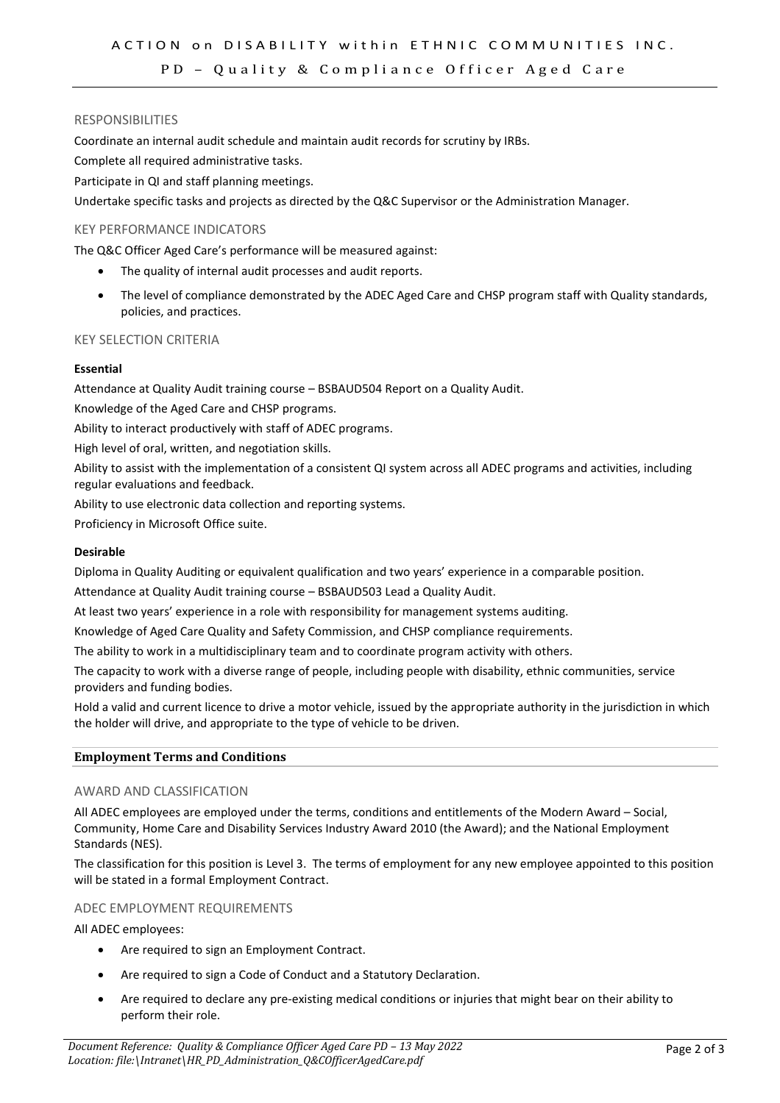# PD - Quality & Compliance Officer Aged Care

#### RESPONSIBILITIES

Coordinate an internal audit schedule and maintain audit records for scrutiny by IRBs.

Complete all required administrative tasks.

Participate in QI and staff planning meetings.

Undertake specific tasks and projects as directed by the Q&C Supervisor or the Administration Manager.

#### KEY PERFORMANCE INDICATORS

The Q&C Officer Aged Care's performance will be measured against:

- The quality of internal audit processes and audit reports.
- The level of compliance demonstrated by the ADEC Aged Care and CHSP program staff with Quality standards, policies, and practices.

# KEY SELECTION CRITERIA

### **Essential**

Attendance at Quality Audit training course – BSBAUD504 Report on a Quality Audit.

Knowledge of the Aged Care and CHSP programs.

Ability to interact productively with staff of ADEC programs.

High level of oral, written, and negotiation skills.

Ability to assist with the implementation of a consistent QI system across all ADEC programs and activities, including regular evaluations and feedback.

Ability to use electronic data collection and reporting systems.

Proficiency in Microsoft Office suite.

#### **Desirable**

Diploma in Quality Auditing or equivalent qualification and two years' experience in a comparable position.

Attendance at Quality Audit training course – BSBAUD503 Lead a Quality Audit.

At least two years' experience in a role with responsibility for management systems auditing.

Knowledge of Aged Care Quality and Safety Commission, and CHSP compliance requirements.

The ability to work in a multidisciplinary team and to coordinate program activity with others.

The capacity to work with a diverse range of people, including people with disability, ethnic communities, service providers and funding bodies.

Hold a valid and current licence to drive a motor vehicle, issued by the appropriate authority in the jurisdiction in which the holder will drive, and appropriate to the type of vehicle to be driven.

#### **Employment Terms and Conditions**

#### AWARD AND CLASSIFICATION

All ADEC employees are employed under the terms, conditions and entitlements of the Modern Award – Social, Community, Home Care and Disability Services Industry Award 2010 (the Award); and the National Employment Standards (NES).

The classification for this position is Level 3. The terms of employment for any new employee appointed to this position will be stated in a formal Employment Contract.

# ADEC EMPLOYMENT REQUIREMENTS

All ADEC employees:

- Are required to sign an Employment Contract.
- Are required to sign a Code of Conduct and a Statutory Declaration.
- Are required to declare any pre-existing medical conditions or injuries that might bear on their ability to perform their role.